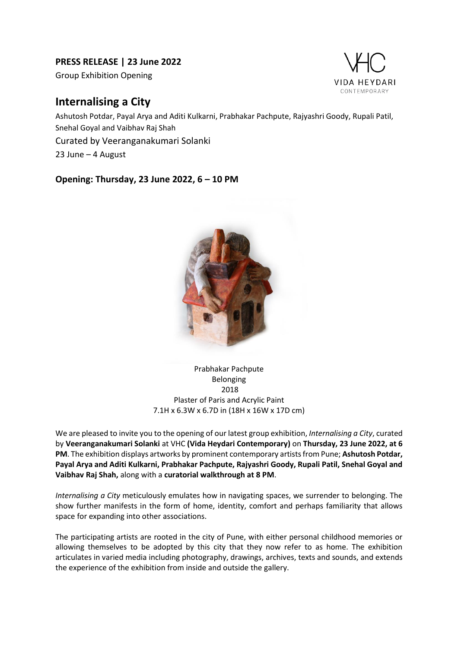**PRESS RELEASE | 23 June 2022**

Group Exhibition Opening



# **Internalising a City**

Ashutosh Potdar, Payal Arya and Aditi Kulkarni, Prabhakar Pachpute, Rajyashri Goody, Rupali Patil, Snehal Goyal and Vaibhav Raj Shah Curated by Veeranganakumari Solanki 23 June – 4 August

## **Opening: Thursday, 23 June 2022, 6 – 10 PM**



Prabhakar Pachpute Belonging 2018 Plaster of Paris and Acrylic Paint 7.1H x 6.3W x 6.7D in (18H x 16W x 17D cm)

We are pleased to invite you to the opening of our latest group exhibition, *Internalising a City*, curated by **Veeranganakumari Solanki** at VHC **(Vida Heydari Contemporary)** on **Thursday, 23 June 2022, at 6 PM**. The exhibition displays artworks by prominent contemporary artists from Pune; **Ashutosh Potdar, Payal Arya and Aditi Kulkarni, Prabhakar Pachpute, Rajyashri Goody, Rupali Patil, Snehal Goyal and Vaibhav Raj Shah,** along with a **curatorial walkthrough at 8 PM**.

*Internalising a City* meticulously emulates how in navigating spaces, we surrender to belonging. The show further manifests in the form of home, identity, comfort and perhaps familiarity that allows space for expanding into other associations.

The participating artists are rooted in the city of Pune, with either personal childhood memories or allowing themselves to be adopted by this city that they now refer to as home. The exhibition articulates in varied media including photography, drawings, archives, texts and sounds, and extends the experience of the exhibition from inside and outside the gallery.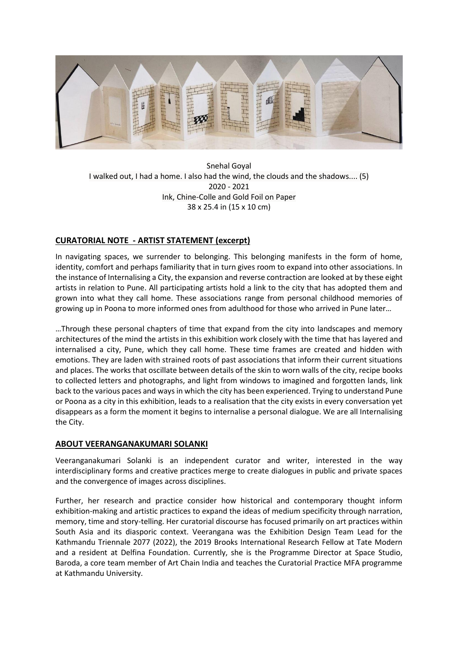

Snehal Goyal I walked out, I had a home. I also had the wind, the clouds and the shadows.... (5) 2020 - 2021 Ink, Chine-Colle and Gold Foil on Paper 38 x 25.4 in (15 x 10 cm)

## **CURATORIAL NOTE - ARTIST STATEMENT (excerpt)**

In navigating spaces, we surrender to belonging. This belonging manifests in the form of home, identity, comfort and perhaps familiarity that in turn gives room to expand into other associations. In the instance of Internalising a City, the expansion and reverse contraction are looked at by these eight artists in relation to Pune. All participating artists hold a link to the city that has adopted them and grown into what they call home. These associations range from personal childhood memories of growing up in Poona to more informed ones from adulthood for those who arrived in Pune later…

…Through these personal chapters of time that expand from the city into landscapes and memory architectures of the mind the artists in this exhibition work closely with the time that has layered and internalised a city, Pune, which they call home. These time frames are created and hidden with emotions. They are laden with strained roots of past associations that inform their current situations and places. The works that oscillate between details of the skin to worn walls of the city, recipe books to collected letters and photographs, and light from windows to imagined and forgotten lands, link back to the various paces and ways in which the city has been experienced. Trying to understand Pune or Poona as a city in this exhibition, leads to a realisation that the city exists in every conversation yet disappears as a form the moment it begins to internalise a personal dialogue. We are all Internalising the City.

## **ABOUT VEERANGANAKUMARI SOLANKI**

Veeranganakumari Solanki is an independent curator and writer, interested in the way interdisciplinary forms and creative practices merge to create dialogues in public and private spaces and the convergence of images across disciplines.

Further, her research and practice consider how historical and contemporary thought inform exhibition-making and artistic practices to expand the ideas of medium specificity through narration, memory, time and story-telling. Her curatorial discourse has focused primarily on art practices within South Asia and its diasporic context. Veerangana was the Exhibition Design Team Lead for the Kathmandu Triennale 2077 (2022), the 2019 Brooks International Research Fellow at Tate Modern and a resident at Delfina Foundation. Currently, she is the Programme Director at Space Studio, Baroda, a core team member of Art Chain India and teaches the Curatorial Practice MFA programme at Kathmandu University.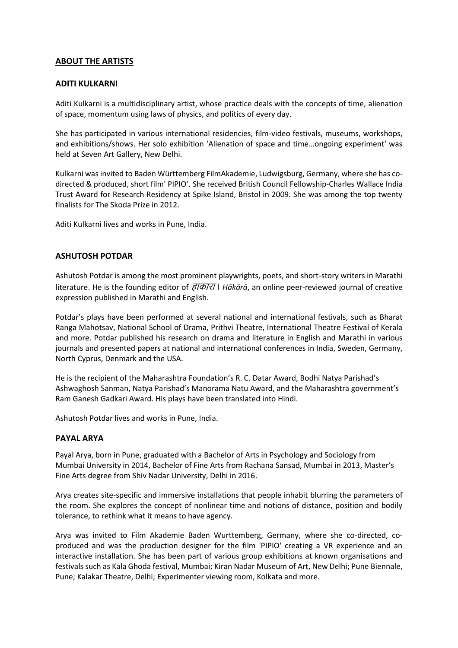## **ABOUT THE ARTISTS**

### **ADITI KULKARNI**

Aditi Kulkarni is a multidisciplinary artist, whose practice deals with the concepts of time, alienation of space, momentum using laws of physics, and politics of every day.

She has participated in various international residencies, film-video festivals, museums, workshops, and exhibitions/shows. Her solo exhibition 'Alienation of space and time…ongoing experiment' was held at Seven Art Gallery, New Delhi.

Kulkarni was invited to Baden Württemberg FilmAkademie, Ludwigsburg, Germany, where she has codirected & produced, short film' PIPIO'. She received British Council Fellowship-Charles Wallace India Trust Award for Research Residency at Spike Island, Bristol in 2009. She was among the top twenty finalists for The Skoda Prize in 2012.

Aditi Kulkarni lives and works in Pune, India.

#### **ASHUTOSH POTDAR**

Ashutosh Potdar is among the most prominent playwrights, poets, and short-story writers in Marathi literature. He is the founding editor of *हाकारा* । *Hākārā*, an online peer-reviewed journal of creative expression published in Marathi and English.

Potdar's plays have been performed at several national and international festivals, such as Bharat Ranga Mahotsav, National School of Drama, Prithvi Theatre, International Theatre Festival of Kerala and more. Potdar published his research on drama and literature in English and Marathi in various journals and presented papers at national and international conferences in India, Sweden, Germany, North Cyprus, Denmark and the USA.

He is the recipient of the Maharashtra Foundation's R. C. Datar Award, Bodhi Natya Parishad's Ashwaghosh Sanman, Natya Parishad's Manorama Natu Award, and the Maharashtra government's Ram Ganesh Gadkari Award. His plays have been translated into Hindi.

Ashutosh Potdar lives and works in Pune, India.

#### **PAYAL ARYA**

Payal Arya, born in Pune, graduated with a Bachelor of Arts in Psychology and Sociology from Mumbai University in 2014, Bachelor of Fine Arts from Rachana Sansad, Mumbai in 2013, Master's Fine Arts degree from Shiv Nadar University, Delhi in 2016.

Arya creates site-specific and immersive installations that people inhabit blurring the parameters of the room. She explores the concept of nonlinear time and notions of distance, position and bodily tolerance, to rethink what it means to have agency.

Arya was invited to Film Akademie Baden Wurttemberg, Germany, where she co-directed, coproduced and was the production designer for the film 'PIPIO' creating a VR experience and an interactive installation. She has been part of various group exhibitions at known organisations and festivals such as Kala Ghoda festival, Mumbai; Kiran Nadar Museum of Art, New Delhi; Pune Biennale, Pune; Kalakar Theatre, Delhi; Experimenter viewing room, Kolkata and more.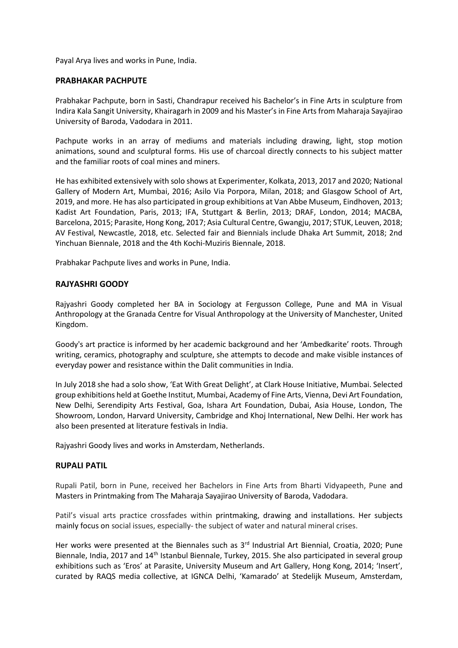Payal Arya lives and works in Pune, India.

#### **PRABHAKAR PACHPUTE**

Prabhakar Pachpute, born in Sasti, Chandrapur received his Bachelor's in Fine Arts in sculpture from Indira Kala Sangit University, Khairagarh in 2009 and his Master's in Fine Arts from Maharaja Sayajirao University of Baroda, Vadodara in 2011.

Pachpute works in an array of mediums and materials including drawing, light, stop motion animations, sound and sculptural forms. His use of charcoal directly connects to his subject matter and the familiar roots of coal mines and miners.

He has exhibited extensively with solo shows at Experimenter, Kolkata, 2013, 2017 and 2020; National Gallery of Modern Art, Mumbai, 2016; Asilo Via Porpora, Milan, 2018; and Glasgow School of Art, 2019, and more. He has also participated in group exhibitions at Van Abbe Museum, Eindhoven, 2013; Kadist Art Foundation, Paris, 2013; IFA, Stuttgart & Berlin, 2013; DRAF, London, 2014; MACBA, Barcelona, 2015; Parasite, Hong Kong, 2017; Asia Cultural Centre, Gwangju, 2017; STUK, Leuven, 2018; AV Festival, Newcastle, 2018, etc. Selected fair and Biennials include Dhaka Art Summit, 2018; 2nd Yinchuan Biennale, 2018 and the 4th Kochi-Muziris Biennale, 2018.

Prabhakar Pachpute lives and works in Pune, India.

#### **RAJYASHRI GOODY**

Rajyashri Goody completed her BA in Sociology at Fergusson College, Pune and MA in Visual Anthropology at the Granada Centre for Visual Anthropology at the University of Manchester, United Kingdom.

Goody's art practice is informed by her academic background and her 'Ambedkarite' roots. Through writing, ceramics, photography and sculpture, she attempts to decode and make visible instances of everyday power and resistance within the Dalit communities in India.

In July 2018 she had a solo show, 'Eat With Great Delight', at Clark House Initiative, Mumbai. Selected group exhibitions held at Goethe Institut, Mumbai, Academy of Fine Arts, Vienna, Devi Art Foundation, New Delhi, Serendipity Arts Festival, Goa, Ishara Art Foundation, Dubai, Asia House, London, The Showroom, London, Harvard University, Cambridge and Khoj International, New Delhi. Her work has also been presented at literature festivals in India.

Rajyashri Goody lives and works in Amsterdam, Netherlands.

#### **RUPALI PATIL**

Rupali Patil, born in Pune, received her Bachelors in Fine Arts from Bharti Vidyapeeth, Pune and Masters in Printmaking from The Maharaja Sayajirao University of Baroda, Vadodara.

Patil's visual arts practice crossfades within printmaking, drawing and installations. Her subjects mainly focus on social issues, especially- the subject of water and natural mineral crises.

Her works were presented at the Biennales such as 3<sup>rd</sup> Industrial Art Biennial, Croatia, 2020; Pune Biennale, India, 2017 and 14<sup>th</sup> Istanbul Biennale, Turkey, 2015. She also participated in several group exhibitions such as 'Eros' at Parasite, University Museum and Art Gallery, Hong Kong, 2014; 'Insert', curated by RAQS media collective, at IGNCA Delhi, 'Kamarado' at Stedelijk Museum, Amsterdam,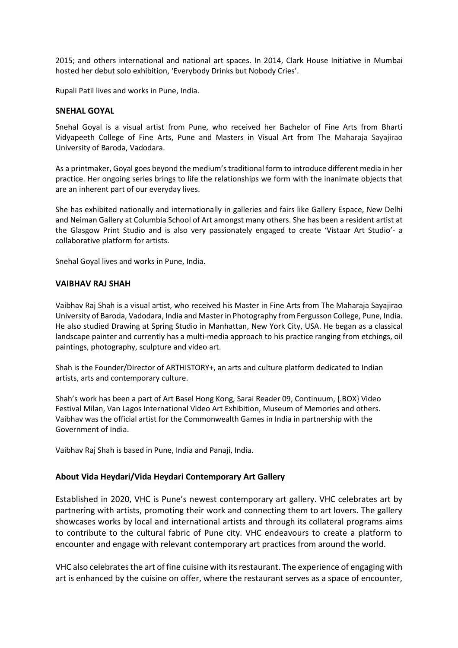2015; and others international and national art spaces. In 2014, Clark House Initiative in Mumbai hosted her debut solo exhibition, 'Everybody Drinks but Nobody Cries'.

Rupali Patil lives and works in Pune, India.

#### **SNEHAL GOYAL**

Snehal Goyal is a visual artist from Pune, who received her Bachelor of Fine Arts from Bharti Vidyapeeth College of Fine Arts, Pune and Masters in Visual Art from The Maharaja Sayajirao University of Baroda, Vadodara.

As a printmaker, Goyal goes beyond the medium's traditional form to introduce different media in her practice. Her ongoing series brings to life the relationships we form with the inanimate objects that are an inherent part of our everyday lives.

She has exhibited nationally and internationally in galleries and fairs like Gallery Espace, New Delhi and Neiman Gallery at Columbia School of Art amongst many others. She has been a resident artist at the Glasgow Print Studio and is also very passionately engaged to create 'Vistaar Art Studio'- a collaborative platform for artists.

Snehal Goyal lives and works in Pune, India.

#### **VAIBHAV RAJ SHAH**

Vaibhav Raj Shah is a visual artist, who received his Master in Fine Arts from The Maharaja Sayajirao University of Baroda, Vadodara, India and Master in Photography from Fergusson College, Pune, India. He also studied Drawing at Spring Studio in Manhattan, New York City, USA. He began as a classical landscape painter and currently has a multi-media approach to his practice ranging from etchings, oil paintings, photography, sculpture and video art.

Shah is the Founder/Director of ARTHISTORY+, an arts and culture platform dedicated to Indian artists, arts and contemporary culture.

Shah's work has been a part of Art Basel Hong Kong, Sarai Reader 09, Continuum, {.BOX} Video Festival Milan, Van Lagos International Video Art Exhibition, Museum of Memories and others. Vaibhav was the official artist for the Commonwealth Games in India in partnership with the Government of India.

Vaibhav Raj Shah is based in Pune, India and Panaji, India.

#### **About Vida Heydari/Vida Heydari Contemporary Art Gallery**

Established in 2020, VHC is Pune's newest contemporary art gallery. VHC celebrates art by partnering with artists, promoting their work and connecting them to art lovers. The gallery showcases works by local and international artists and through its collateral programs aims to contribute to the cultural fabric of Pune city. VHC endeavours to create a platform to encounter and engage with relevant contemporary art practices from around the world.

VHC also celebrates the art of fine cuisine with its restaurant. The experience of engaging with art is enhanced by the cuisine on offer, where the restaurant serves as a space of encounter,